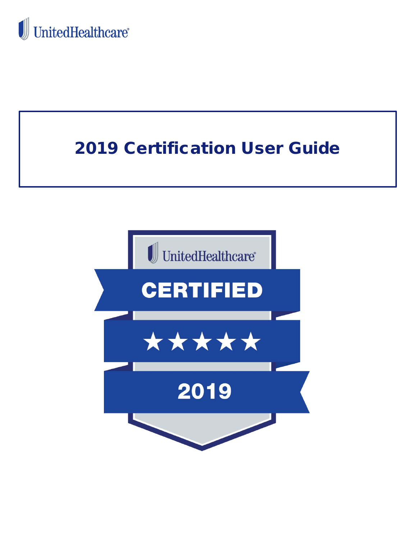



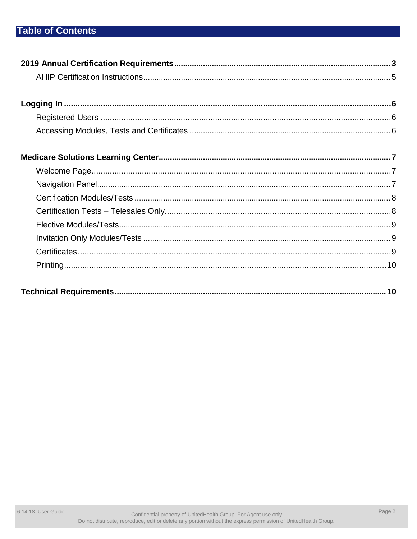## **Table of Contents**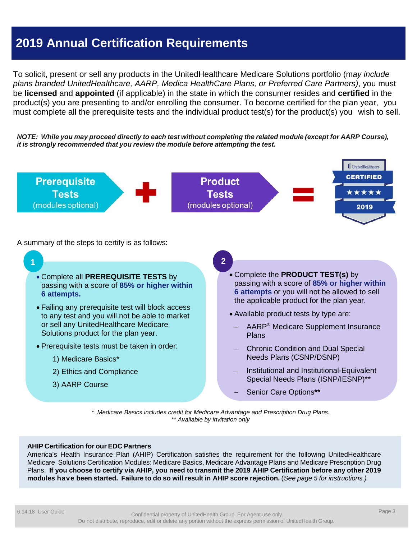## **2019 Annual Certification Requirements**

To solicit, present or sell any products in the UnitedHealthcare Medicare Solutions portfolio (m*ay include plans branded UnitedHealthcare, AARP, Medica HealthCare Plans, or Preferred Care Partners)*, you must be **licensed** and **appointed** (if applicable) in the state in which the consumer resides and **certified** in the product(s) you are presenting to and/or enrolling the consumer. To become certified for the plan year, you must complete all the prerequisite tests and the individual product test(s) for the product(s) you wish to sell.

NOTE: While you may proceed directly to each test without completing the related module (except for AARP Course), *it is strongly recommended that you review the module before attempting the test.*



A summary of the steps to certify is as follows:

**1** • Complete all **PREREQUISITE TESTS** by passing with a score of **85% or higher within 6 attempts.**  • Failing any prerequisite test will block access to any test and you will not be able to market or sell any UnitedHealthcare Medicare Solutions product for the plan year. • Prerequisite tests must be taken in order: 1) Medicare Basics\* 2) Ethics and Compliance 3) AARP Course **2** • Complete the **PRODUCT TEST(s)** by passing with a score of **85% or higher within 6 attempts** or you will not be allowed to sell the applicable product for the plan year. • Available product tests by type are: − AARP® Medicare Supplement Insurance Plans − Chronic Condition and Dual Special Needs Plans (CSNP/DSNP) − Institutional and Institutional-Equivalent Special Needs Plans (ISNP/IESNP)\*\* − Senior Care Options**\*\***

> *\* Medicare Basics includes credit for Medicare Advantage and Prescription Drug Plans. \*\* Available by invitation only*

### **AHIP Certification for our EDC Partners**

America's Health Insurance Plan (AHIP) Certification satisfies the requirement for the following UnitedHealthcare Medicare Solutions Certification Modules: Medicare Basics, Medicare Advantage Plans and Medicare Prescription Drug Plans. If you choose to certify via AHIP, you need to transmit the 2019 AHIP Certification before any other 2019 modules have been started. Failure to do so will result in AHIP score rejection. (See page 5 for instructions.)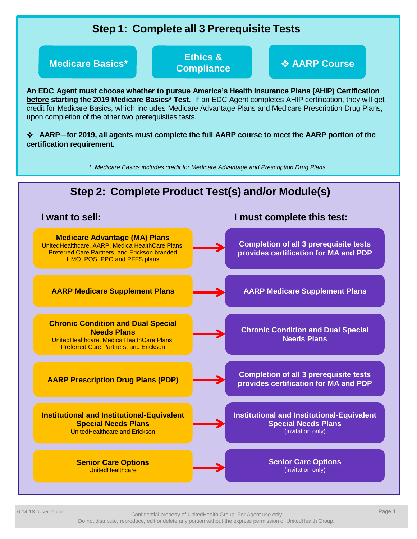

6.14.18 User Guide Page 4 Confidential property of UnitedHealth Group. For Agent use only. Do not distribute, reproduce, edit or delete any portion without the express permission of UnitedHealth Group.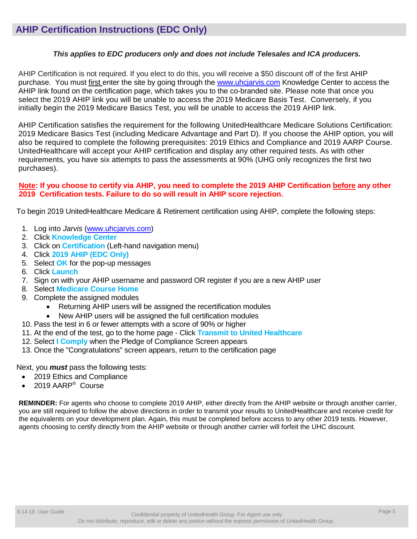### *This applies to EDC producers only and does not include Telesales and ICA producers.*

AHIP Certification is not required. If you elect to do this, you will receive a \$50 discount off of the first AHIP purchase. You must first enter the site by going through the [www.uhcjarvis.com](http://www.uhcjarvis.com/) Knowledge Center to access the AHIP link found on the certification page, which takes you to the co-branded site. Please note that once you select the 2019 AHIP link you will be unable to access the 2019 Medicare Basis Test. Conversely, if you initially begin the 2019 Medicare Basics Test, you will be unable to access the 2019 AHIP link.

AHIP Certification satisfies the requirement for the following UnitedHealthcare Medicare Solutions Certification: 2019 Medicare Basics Test (including Medicare Advantage and Part D). If you choose the AHIP option, you will also be required to complete the following prerequisites: 2019 Ethics and Compliance and 2019 AARP Course. UnitedHealthcare will accept your AHIP certification and display any other required tests. As with other requirements, you have six attempts to pass the assessments at 90% (UHG only recognizes the first two purchases).

### Note: If you choose to certify via AHIP, you need to complete the 2019 AHIP Certification before any other **2019 Certification tests. Failure to do so will result in AHIP score rejection.**

To begin 2019 UnitedHealthcare Medicare & Retirement certification using AHIP, complete the following steps:

- 1. Log into *Jarvis* [\(www.uhcjarvis.com\)](http://www.uhcjarvis.com/)
- 2. Click **Knowledge Center**
- 3. Click on **Certification** (Left-hand navigation menu)
- 4. Click **2019 AHIP (EDC Only)**
- 5. Select **OK** for the pop-up messages
- 6. Click **Launch**
- 7. Sign on with your AHIP username and password OR register if you are a new AHIP user
- 8. Select **Medicare Course Home**
- 9. Complete the assigned modules
	- Returning AHIP users will be assigned the recertification modules
	- New AHIP users will be assigned the full certification modules
- 10. Pass the test in 6 or fewer attempts with a score of 90% or higher
- 11. At the end of the test, go to the home page Click **Transmit to United Healthcare**
- 12. Select **I Comply** when the Pledge of Compliance Screen appears
- 13. Once the "Congratulations" screen appears, return to the certification page

### Next, you *must* pass the following tests:

- 2019 Ethics and Compliance
- 2019 AARP® Course

**REMINDER:** For agents who choose to complete 2019 AHIP, either directly from the AHIP website or through another carrier, you are still required to follow the above directions in order to transmit your results to UnitedHealthcare and receive credit for the equivalents on your development plan. Again, this must be completed before access to any other 2019 tests. However, agents choosing to certify directly from the AHIP website or through another carrier will forfeit the UHC discount.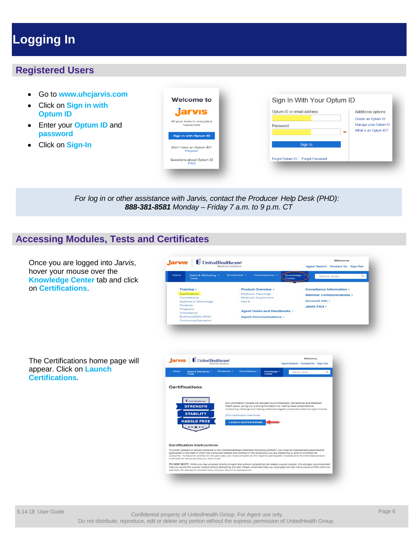# <span id="page-5-0"></span>**Logging In**

### **Registered Users**

- Go to **www.uhcjarvis.com**
- Click on **Sign in with Optum ID**
- Enter your **Optum ID** and **password**
- Click on **Sign-In**

| <b>Welcome to</b>                          |
|--------------------------------------------|
| <b>jarvıs</b>                              |
| All your tools in one place<br>hassle-free |
| <b>Sign in with Optum ID</b>               |
| Don't have an Optum ID?<br>Register        |
|                                            |

|               | Create an Optum ID                           |
|---------------|----------------------------------------------|
| Password<br>ᡐ | Manage your Optum ID<br>What is an Optum ID? |
| Sign In       |                                              |

*For log in or other assistance with Jarvis, contact the Producer Help Desk (PHD): 888-381-8581 Monday – Friday 7 a.m. to 9 p.m. CT*

### **Accessing Modules, Tests and Certificates**

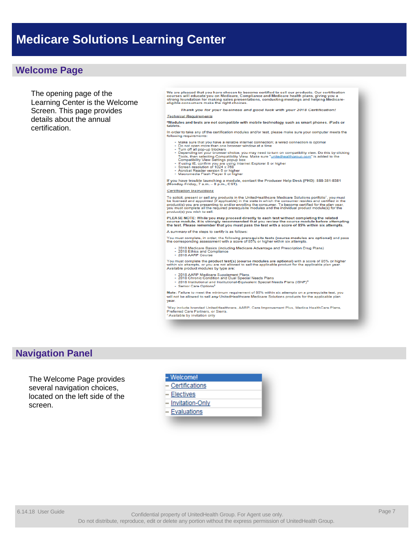### <span id="page-6-0"></span>**Welcome Page**

The opening page of the Learning Center is the Welcome Screen. This page provides details about the annual certification.

We are pleased that you have chosen to become certified to sell our products. Our certification<br>courses will educate you on Medicare, Compliance and Medicare health plans, giving you a<br>strong foundation for making sales pr

Thank you for your business and good luck with your 2018 Certification!

### **Technical Requirements**

\*Modules and tests are not compatible with mobile technology such as smart phones. iPads or<br>tablets.

#### In order to take any of the certification modules and/or test, please make sure your computer meets the following requin

- 
- 
- onume that you have a reliable internet connection; a wired connection is optimal<br>
Make sure that you have a reliable internet connection; a wired connection is optimal<br>
Do not open more than one browser chickers<br>
T
- 
- 
- 

If you have trouble launching a module, contact the Producer Help Desk (PHD): 888-381-8581<br>(Monday-Friday, 7 a.m. - 8 p.m., CST).

### **Certification Instructions**

To solicit, present or sell any products in the UnitedHealthcare Medicare Solutions portfolio<sup>1</sup>, you must<br>be licensed and appointed (if applicable) in the state in which the consumer resides and certified in the<br>product(s

PLEASE NOTE: While you may proceed directly to each test without completing the related<br>course module, it is strongly recommended that you review the course module before attempting<br>the test. Please remember that you must

A summary of the steps to certify is as follows:

You must complete, in order, the following prerequisite tests (course modules are optional) and pass<br>the corresponding assessment with a score of 85% or higher within six attempts.

- 2018 Medicare Basics (including Medicare Advantage and Prescription Drug Plans)<br>- 2018 Ethics and Compliance<br>- 2018 AARP Course

You must complete the product test(s) (course modules are optional) with a score of 85% or higher<br>within six attempts, or you are not allowed to sell the applicable product for the applicable plan year. within six attempts, or you are not allow<br>Available product modules by type are:

- 
- 
- 2018 AARP Medicare Supplement Plans<br>- 2018 Chronic Condition and Dual Special Needs Plans<br>- 2018 Institutional and Institutional-Equivalent Special Needs Plans (ISNP)<sup>2</sup><br>Carlie Certic Critical
- Senior Care Options<sup>2</sup>

Note: Failure to meet the minimum requirement of 85% within six attempts on a prerequisite test, you<br>will not be allowed to sell any UnitedHealthcare Medicare Solutions products for the applicable plan year.

<sup>3</sup>May include branded UnitedHealthcare, AARP, Care Improvement Plus, Medica HealthCare Plans,<br>Preferred Care Partners, or Sierra. <sup>2</sup> Available by invitation only

### **Navigation Panel**

The Welcome Page provides several navigation choices, located on the left side of the screen.

### - Welcome!

- Certifications
- Electives
- Invitation-Only
- Evaluations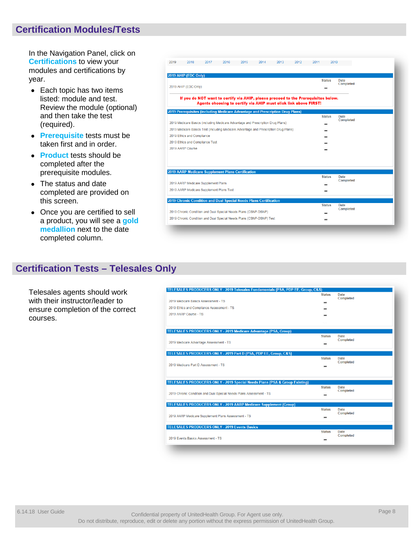### **Certification Modules/Tests**

In the Navigation Panel, click on **Certifications** to view your modules and certifications by year.

- Each topic has two items listed: module and test. Review the module (optional) and then take the test (required).
- **Prerequisite** tests must be taken first and in order.
- **Product** tests should be completed after the prerequisite modules.
- The status and date completed are provided on this screen.
- Once you are certified to sell a product, you will see a **gold medallion** next to the date completed column.

| 2019 | 2018                                                                                 | 2017 | 2016                                                             | 2015 | 2014                                                                 | 2013 | 2012 | 2011 | 2010          |                                 |  |
|------|--------------------------------------------------------------------------------------|------|------------------------------------------------------------------|------|----------------------------------------------------------------------|------|------|------|---------------|---------------------------------|--|
|      | 2019 AHIP (EDC Only)                                                                 |      |                                                                  |      |                                                                      |      |      |      |               |                                 |  |
|      | 2019 AHIP (EDC Only)                                                                 |      |                                                                  |      |                                                                      |      |      |      | <b>Status</b> | <b>Date</b><br><b>Completed</b> |  |
|      | If you do NOT want to certify via AHIP, please proceed to the Prerequisites below.   |      | Agents choosing to certify via AHIP must click link above FIRST! |      |                                                                      |      |      |      |               |                                 |  |
|      | 2019 Prerequisites (including Medicare Advantage and Prescription Drug Plans)        |      |                                                                  |      |                                                                      |      |      |      | <b>Status</b> | Date                            |  |
|      | 2019 Medicare Basics (including Medicare Advantage and Prescription Drug Plans)      |      |                                                                  |      |                                                                      |      |      |      |               | <b>Completed</b>                |  |
|      | 2019 Medicare Basics Test (including Medicare Advantage and Prescription Drug Plans) |      |                                                                  |      |                                                                      |      |      |      |               |                                 |  |
|      | 2019 Ethics and Compliance                                                           |      |                                                                  |      |                                                                      |      |      |      |               |                                 |  |
|      | 2019 Ethics and Compliance Test                                                      |      |                                                                  |      |                                                                      |      |      |      |               |                                 |  |
|      | 2019 AARP Course                                                                     |      |                                                                  |      |                                                                      |      |      |      |               |                                 |  |
|      |                                                                                      |      |                                                                  |      |                                                                      |      |      |      |               |                                 |  |
|      | <b>2019 AARP Medicare Supplement Plans Certification</b>                             |      |                                                                  |      |                                                                      |      |      |      |               |                                 |  |
|      |                                                                                      |      |                                                                  |      |                                                                      |      |      |      | <b>Status</b> | <b>Date</b><br><b>Completed</b> |  |
|      | 2019 AARP Medicare Supplement Plans                                                  |      |                                                                  |      |                                                                      |      |      |      |               |                                 |  |
|      | 2019 AARP Medicare Supplement Plans Test                                             |      |                                                                  |      |                                                                      |      |      |      |               |                                 |  |
|      | 2019 Chronic Condition and Dual Special Needs Plans Certification                    |      |                                                                  |      |                                                                      |      |      |      |               |                                 |  |
|      |                                                                                      |      |                                                                  |      |                                                                      |      |      |      | <b>Status</b> | Date<br>Completed               |  |
|      | 2019 Chronic Condition and Dual Special Needs Plans (CSNP-DSNP)                      |      |                                                                  |      |                                                                      |      |      |      |               |                                 |  |
|      |                                                                                      |      |                                                                  |      | 2019 Chronic Condition and Dual Special Needs Plans (CSNP-DSNP) Test |      |      |      |               |                                 |  |

### **Certification Tests – Telesales Only**

Telesales agents should work with their instructor/leader to ensure completion of the correct courses.

| TELESALES PRODUCERS ONLY - 2019 Telesales Fundamentals (PSA, PDP EE, Group, C&S)      | <b>Status</b> | <b>Date</b>       |
|---------------------------------------------------------------------------------------|---------------|-------------------|
| 2019 Medicare Basics Assessment - TS                                                  |               | Completed         |
| 2019 Ethics and Compliance Assessment - TS                                            |               |                   |
| 2019 AARP Course - TS                                                                 |               |                   |
|                                                                                       |               |                   |
| TELESALES PRODUCERS ONLY - 2019 Medicare Advantage (PSA, Group)                       |               |                   |
|                                                                                       | <b>Status</b> | Date<br>Completed |
| 2019 Medicare Advantage Assessment - TS                                               |               |                   |
| TELESALES PRODUCERS ONLY - 2019 Part D (PSA, PDP EE, Group, C&S)                      |               |                   |
|                                                                                       | <b>Status</b> | Date              |
| 2019 Medicare Part D Assessment - TS                                                  |               | Completed         |
|                                                                                       |               |                   |
| <b>TELESALES PRODUCERS ONLY - 2019 Special Needs Plans (PSA &amp; Group Existing)</b> |               |                   |
|                                                                                       | <b>Status</b> | Date<br>Completed |
| 2019 Chronic Condition and Dual Special Needs Plans Assessment - TS                   |               |                   |
| <b>TELESALES PRODUCERS ONLY - 2019 AARP Medicare Supplement (Group)</b>               |               |                   |
|                                                                                       | <b>Status</b> | <b>Date</b>       |
| 2019 AARP Medicare Supplement Plans Assessment - TS                                   |               | Completed         |
|                                                                                       |               |                   |
| <b>TELESALES PRODUCERS ONLY - 2019 Events Basics</b>                                  | <b>Status</b> | <b>Date</b>       |
| 2019 Events Basics Assessment - TS                                                    |               | Completed         |
|                                                                                       |               |                   |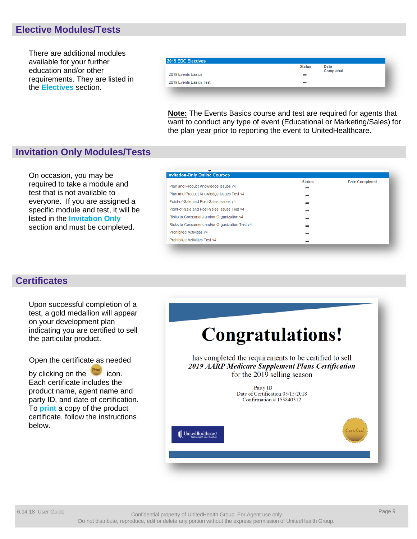### **Elective Modules/Tests**

There are additional modules available for your further education and/or other requirements. They are listed in the **Electives** section.

|                         | <b>Status</b><br><b>Date</b><br><b>Completed</b> |  |
|-------------------------|--------------------------------------------------|--|
| 2019 Events Basics      | $\sim$<br>1575                                   |  |
| 2019 Events Basics Test | $\blacksquare$                                   |  |

**Note:** The Events Basics course and test are required for agents that want to conduct any type of event (Educational or Marketing/Sales) for the plan year prior to reporting the event to UnitedHealthcare.

### **Invitation Only Modules/Tests**

On occasion, you may be required to take a module and test that is not available to everyone. If you are assigned a specific module and test, it will be listed in the **Invitation Only** section and must be completed.

| <b>Invitation-Only Online Courses</b><br><b>Date Completed</b><br><b>Status</b><br>Plan and Product Knowledge Issues v4<br>Plan and Product Knowledge Issues Test v4 |
|----------------------------------------------------------------------------------------------------------------------------------------------------------------------|
|                                                                                                                                                                      |
|                                                                                                                                                                      |
|                                                                                                                                                                      |
| Point-of-Sale and Post-Sales Issues v4                                                                                                                               |
| Point-of-Sale and Post-Sales Issues Test v4                                                                                                                          |
| Risks to Consumers and/or Organization v4                                                                                                                            |
| Risks to Consumers and/or Organization Test v4                                                                                                                       |
| <b>Prohibited Activities v4</b><br><b>SHOP</b>                                                                                                                       |
| <b>Prohibited Activities Test v4</b>                                                                                                                                 |

### **Certificates**

Upon successful completion of a test, a gold medallion will appear on your development plan indicating you are certified to sell the particular product.

Open the certificate as needed

by clicking on the **interval** icon. Each certificate includes the product name, agent name and party ID, and date of certification. To **print** a copy of the product certificate, follow the instructions below.